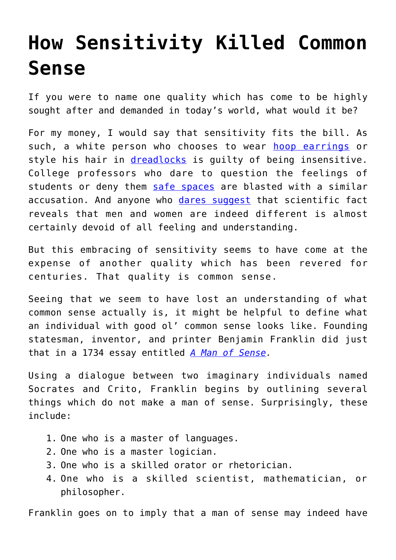## **[How Sensitivity Killed Common](https://intellectualtakeout.org/2017/08/how-sensitivity-killed-common-sense/) [Sense](https://intellectualtakeout.org/2017/08/how-sensitivity-killed-common-sense/)**

If you were to name one quality which has come to be highly sought after and demanded in today's world, what would it be?

For my money, I would say that sensitivity fits the bill. As such, a white person who chooses to wear [hoop earrings](https://www.intellectualtakeout.org/blog/hoop-earrings-no-longer-politically-correct-white-girls) or style his hair in *[dreadlocks](https://www.intellectualtakeout.org/blog/video-white-student-assaulted-cultural-appropriation-dreadlocks)* is quilty of being insensitive. College professors who dare to question the feelings of students or deny them [safe spaces](https://www.intellectualtakeout.org/blog/psychologist-breakdown-discourse-im-liberal-professor-and-my-liberal-students-scare-me) are blasted with a similar accusation. And anyone who [dares suggest](https://www.intellectualtakeout.org/article/google-engineer-fired-questioning-diversity-memo-four-scientists-say-he-was-right) that scientific fact reveals that men and women are indeed different is almost certainly devoid of all feeling and understanding.

But this embracing of sensitivity seems to have come at the expense of another quality which has been revered for centuries. That quality is common sense.

Seeing that we seem to have lost an understanding of what common sense actually is, it might be helpful to define what an individual with good ol' common sense looks like. Founding statesman, inventor, and printer Benjamin Franklin did just that in a 1734 essay entitled *[A Man of Sense](http://franklinpapers.org/franklin/framedVolumes.jsp?vol=2&page=015a).*

Using a dialogue between two imaginary individuals named Socrates and Crito, Franklin begins by outlining several things which do not make a man of sense. Surprisingly, these include:

- 1. One who is a master of languages.
- 2. One who is a master logician.
- 3. One who is a skilled orator or rhetorician.
- 4. One who is a skilled scientist, mathematician, or philosopher.

Franklin goes on to imply that a man of sense may indeed have